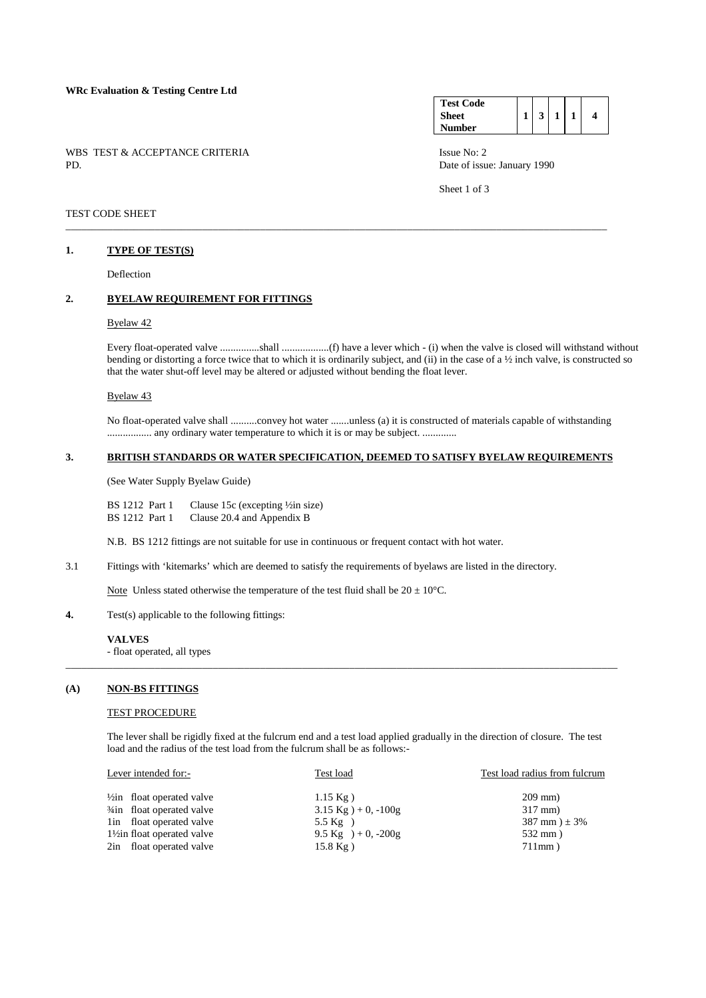## **WRc Evaluation & Testing Centre Ltd**

WBS TEST & ACCEPTANCE CRITERIA ISSUE No: 2<br>PD Date of issue

#### **Test Code Sheet Number**   $1 \mid 3 \mid 1 \mid 1 \mid 4$

Date of issue: January 1990

Sheet 1 of 3

## TEST CODE SHEET

#### **1. TYPE OF TEST(S)**

Deflection

## **2. BYELAW REQUIREMENT FOR FITTINGS**

## Byelaw 42

 Every float-operated valve ...............shall ..................(f) have a lever which - (i) when the valve is closed will withstand without bending or distorting a force twice that to which it is ordinarily subject, and (ii) in the case of a ½ inch valve, is constructed so that the water shut-off level may be altered or adjusted without bending the float lever.

#### Byelaw 43

 No float-operated valve shall ..........convey hot water .......unless (a) it is constructed of materials capable of withstanding ................. any ordinary water temperature to which it is or may be subject. .............

#### **3. BRITISH STANDARDS OR WATER SPECIFICATION, DEEMED TO SATISFY BYELAW REQUIREMENTS**

\_\_\_\_\_\_\_\_\_\_\_\_\_\_\_\_\_\_\_\_\_\_\_\_\_\_\_\_\_\_\_\_\_\_\_\_\_\_\_\_\_\_\_\_\_\_\_\_\_\_\_\_\_\_\_\_\_\_\_\_\_\_\_\_\_\_\_\_\_\_\_\_\_\_\_\_\_\_\_\_\_\_\_\_\_\_\_\_\_\_\_\_\_\_\_\_\_\_\_\_\_\_\_

(See Water Supply Byelaw Guide)

BS 1212 Part 1 Clause 15c (excepting ½in size)<br>BS 1212 Part 1 Clause 20.4 and Appendix B Clause 20.4 and Appendix B

N.B. BS 1212 fittings are not suitable for use in continuous or frequent contact with hot water.

3.1 Fittings with 'kitemarks' which are deemed to satisfy the requirements of byelaws are listed in the directory.

Note Unless stated otherwise the temperature of the test fluid shall be  $20 \pm 10^{\circ}$ C.

**4.** Test(s) applicable to the following fittings:

#### **VALVES**

- float operated, all types

## **(A) NON-BS FITTINGS**

#### **TEST PROCEDURE**

 The lever shall be rigidly fixed at the fulcrum end and a test load applied gradually in the direction of closure. The test load and the radius of the test load from the fulcrum shall be as follows:-

\_\_\_\_\_\_\_\_\_\_\_\_\_\_\_\_\_\_\_\_\_\_\_\_\_\_\_\_\_\_\_\_\_\_\_\_\_\_\_\_\_\_\_\_\_\_\_\_\_\_\_\_\_\_\_\_\_\_\_\_\_\_\_\_\_\_\_\_\_\_\_\_\_\_\_\_\_\_\_\_\_\_\_\_\_\_\_\_\_\_\_\_\_\_\_\_\_\_\_\_\_\_\_\_\_

| Lever intended for:-<br>Test load                                                     | Test load radius from fulcrum |
|---------------------------------------------------------------------------------------|-------------------------------|
| $\frac{1}{2}$ in float operated valve<br>$1.15 \text{ kg}$ )                          | $209$ mm)                     |
| <sup>3</sup> / <sub>4</sub> in float operated valve<br>$3.15 \text{ kg}$ ) + 0, -100g | $317$ mm)                     |
| lin float operated valve<br>5.5 $Kg$ )                                                | $387$ mm $) \pm 3\%$          |
| 1/2 in float operated valve<br>9.5 Kg $)+0$ , -200g                                   | $532$ mm)                     |
| 2in float operated valve<br>$15.8 \text{ kg}$ )                                       | $711mm$ )                     |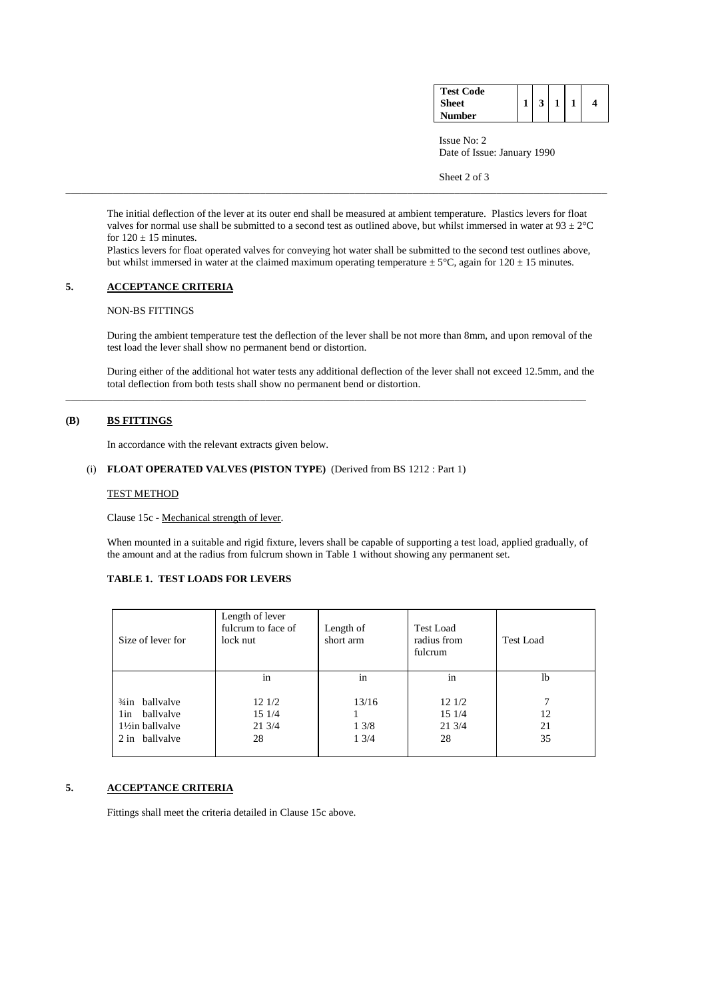| <b>Test Code</b> |  |  |  |
|------------------|--|--|--|
| <b>Sheet</b>     |  |  |  |
| <b>Number</b>    |  |  |  |

 Issue No: 2 Date of Issue: January 1990

Sheet 2 of 3

 The initial deflection of the lever at its outer end shall be measured at ambient temperature. Plastics levers for float valves for normal use shall be submitted to a second test as outlined above, but whilst immersed in water at  $93 \pm 2^{\circ}C$ for  $120 \pm 15$  minutes.

\_\_\_\_\_\_\_\_\_\_\_\_\_\_\_\_\_\_\_\_\_\_\_\_\_\_\_\_\_\_\_\_\_\_\_\_\_\_\_\_\_\_\_\_\_\_\_\_\_\_\_\_\_\_\_\_\_\_\_\_\_\_\_\_\_\_\_\_\_\_\_\_\_\_\_\_\_\_\_\_\_\_\_\_\_\_\_\_\_\_\_\_\_\_\_\_\_\_\_\_\_\_\_

 Plastics levers for float operated valves for conveying hot water shall be submitted to the second test outlines above, but whilst immersed in water at the claimed maximum operating temperature  $\pm 5^{\circ}$ C, again for 120  $\pm$  15 minutes.

## **5. ACCEPTANCE CRITERIA**

## NON-BS FITTINGS

 During the ambient temperature test the deflection of the lever shall be not more than 8mm, and upon removal of the test load the lever shall show no permanent bend or distortion.

 During either of the additional hot water tests any additional deflection of the lever shall not exceed 12.5mm, and the total deflection from both tests shall show no permanent bend or distortion.

\_\_\_\_\_\_\_\_\_\_\_\_\_\_\_\_\_\_\_\_\_\_\_\_\_\_\_\_\_\_\_\_\_\_\_\_\_\_\_\_\_\_\_\_\_\_\_\_\_\_\_\_\_\_\_\_\_\_\_\_\_\_\_\_\_\_\_\_\_\_\_\_\_\_\_\_\_\_\_\_\_\_\_\_\_\_\_\_\_\_\_\_\_\_\_\_\_\_\_

# **(B) BS FITTINGS**

In accordance with the relevant extracts given below.

## (i) **FLOAT OPERATED VALVES (PISTON TYPE)** (Derived from BS 1212 : Part 1)

### TEST METHOD

Clause 15c - Mechanical strength of lever.

 When mounted in a suitable and rigid fixture, levers shall be capable of supporting a test load, applied gradually, of the amount and at the radius from fulcrum shown in Table 1 without showing any permanent set.

## **TABLE 1. TEST LOADS FOR LEVERS**

| Size of lever for                                                                     | Length of lever<br>fulcrum to face of<br>lock nut | Length of<br>short arm | <b>Test Load</b><br>radius from<br>fulcrum | <b>Test Load</b> |  |
|---------------------------------------------------------------------------------------|---------------------------------------------------|------------------------|--------------------------------------------|------------------|--|
|                                                                                       | in                                                | in                     | in                                         | 1b               |  |
| ballyalve<br>$\frac{3}{4}$ in<br>ballyalve<br>1in<br>1½in ballvalve<br>2 in ballvalve | 121/2<br>15 1/4<br>213/4<br>28                    | 13/16<br>13/8<br>13/4  | 121/2<br>15 1/4<br>21 3/4<br>28            | 12<br>21<br>35   |  |

# **5. ACCEPTANCE CRITERIA**

Fittings shall meet the criteria detailed in Clause 15c above.